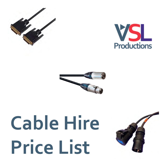



# **Cable Hire Price List**



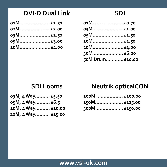## **DVI-D Dual Link**

| 01M£1.50 |
|----------|
| 02M£2.00 |
| 03M£2.50 |
| 05M£3.00 |
| 10M£4.00 |

| 01M £0.70       |  |
|-----------------|--|
| 03M£1.00        |  |
| 05M£1.50        |  |
| 10M£2.50        |  |
| 20M£4.00        |  |
| 30M  £6.00      |  |
| 50M Drum £10.00 |  |
|                 |  |

#### **SDI Looms**

| 03M, 4 Way £5.50  |  |
|-------------------|--|
| 05M, 4 Way £6.5   |  |
| 10M, 4 Way £10.00 |  |
| 20M, 4 Way £15.00 |  |

## **Neutrik opticalCON**

| 100M  £100.00       |
|---------------------|
| 150M………………. £125.00 |
|                     |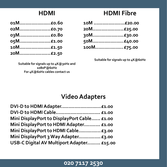#### **HDMI**

| 01M£0.60 |
|----------|
| 02M£0.70 |
|          |
| 05M£1.00 |
| 10M£1.50 |
| 20M£2.50 |

## **HDMI Fibre**

| 10M £20.00  |
|-------------|
| 20M£25.00   |
| 30M£30.00   |
| 50M£40.00   |
| 100M £75.00 |

**Suitable for signals up to 4K@60Hz**

**Suitable for signals up to 4K@30Hz and 1080P@60Hz For 4K@60Hz cables contact us**

## **Video Adapters**

| DVI-D to HDMI Adapter£1.00                  |  |
|---------------------------------------------|--|
| DVI-D to HDMI Cable £1.00                   |  |
| Mini DisplayPort to DisplayPort Cable £1.00 |  |
| Mini DisplayPort to HDMI Adapter £1.00      |  |
| Mini DisplayPort to HDMI Cable £3.00        |  |
| Mini DisplayPort 3 Way Adapter £3.00        |  |
| USB-C Digital AV Multiport Adapter £15.00   |  |

#### **020 7117 2530**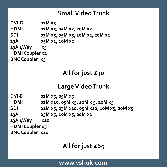## **Small Video Trunk**

**DVI-D 02M x5 HDMI 02M x5, 05M x2, 20M x2 SDI 03M x5, 05M x5, 10M x2, 20M x2 13A 05M x2, 10M x2 13A 4Way x5 HDMI Coupler x2 BNC Coupler x5**

# **All for just £30**

## **Large Video Trunk**

**DVI-D 02M x5, 05M x5**

**HDMI 02M x10, 05M x5, 10M x 5, 20M x5**

**SDI 01M x5, 03M x10, 05M x10, 10M x5, 20M x5** 

**13A 05M x5, 10M x5, 20M x2**

**13A 4Way x10**

**HDMI Coupler x5**

**BNC Coupler x10**

# **All for just £65**

#### **[www.vsl-uk.com](http://hire.vsl-uk.com/video/)**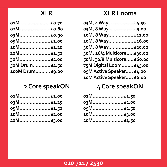#### **XLR**

| 01M£0.70        |  |
|-----------------|--|
| 02M£0.80        |  |
| 03M£0.90        |  |
| 05M£1.00        |  |
| 10M£1.20        |  |
| 20M£1.50        |  |
| 30M£2.00        |  |
| 50M Drum£4.50   |  |
| 100M Drum £9.00 |  |

## **2 Core speakON**

| 01M£1.00 |
|----------|
| 03M£1.25 |
| 05M£1.50 |
|          |
| 20M£3.00 |

## **XLR Looms**

| 03M, 4 Way £4.50           |  |
|----------------------------|--|
| 03M, 8 Way £9.00           |  |
| 10M, 8 Way £12.00          |  |
| 20M, 8 Way £16.00          |  |
| 30M, 8 Way £20.00          |  |
| 30M, 16/4 Multicore£30.00  |  |
| 50M, 32/8 Multicore £60.00 |  |
| 75M Digital Loom £45.00    |  |
| 05M Active Speaker £4.00   |  |
| 10M Active Speaker £6.00   |  |
|                            |  |

## **4 Core speakON**

| 01M£1.50        |
|-----------------|
| 03M…………………£2.00 |
| 05M£2.50        |
| 10M…………………£3.00 |
| 20M£4.50        |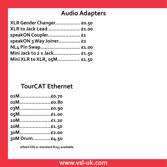## **Audio Adapters**

| XLR Gender Changer £0.50    |  |
|-----------------------------|--|
| XLR to Jack Lead £1.00      |  |
| speakON Coupler £1          |  |
| speakON 3 Way Joiner £2     |  |
| NL4 Pin Swap £1.00          |  |
| Mini Jack to 2 x Jack £1.50 |  |
| Mini XLR to XLR, 05M £1.50  |  |

#### **TourCAT Ethernet**

| 01M£0.70      |  |
|---------------|--|
| 02M£0.80      |  |
| 03M£0.90      |  |
| 05M£1.00      |  |
| 10M£1.20      |  |
| 20M£1.50      |  |
| 30M£2.00      |  |
| 50M Drum£4.50 |  |

**etherCON or standard RJ45 available**

#### **[www.vsl-uk.com](http://hire.vsl-uk.com/sound/)**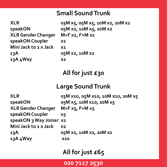#### **Small Sound Trunk**

**XLR Gender Changer M>F x2, F>M x2 speakON Coupler x2 Mini Jack to 2 x Jack x1 13A 05M x2, 10M x2 13A 4Way x2**

**XLR 03M x5, 05M x5, 10M x2, 20M x2 speakON 05M x2, 10M x5, 20M x2**

## **All for just £30**

#### **Large Sound Trunk**

**XLR 03M x10, 05M x10, 10M x10, 20M x5 speakON 05M x5, 10M x10, 20M x5 XLR Gender Changer M>F x5, F>M x5 speakON Coupler x5 speakON 3 Way Joiner x2 Mini Jack to 2 x Jack x2 13A 05M x2, 10M x2, 20M x2 13A 4Way x10**

## **All for just £65**

**020 7117 2530**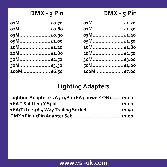## **DMX - 3 Pin**

| 01M£0.70   |  |
|------------|--|
| 02M£0.80   |  |
| 03M £0.90  |  |
| 05M£1.00   |  |
| 10M£1.20   |  |
| 20M£1.80   |  |
| 30M£2.50   |  |
| 50M£3.50   |  |
| 100M £6.50 |  |

| DMX - | $5$ Pin |
|-------|---------|
|-------|---------|

| 01M£1.20   |  |
|------------|--|
| 02M£1.30   |  |
| 03M £1.40  |  |
| 05M£1.50   |  |
| 10M£1.80   |  |
| 20M£2.50   |  |
| 30M£3.00   |  |
| 50M£4.00   |  |
| 100M £7.00 |  |

## **Lighting Adapters**

| Lighting Adapter (13A / 15A / 16A / powerCON) £1.00 |  |
|-----------------------------------------------------|--|
|                                                     |  |
| 16A(T) to 13A 4 Way Trailing Socket £1.50           |  |
|                                                     |  |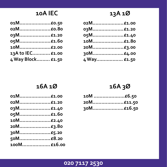## 10A IEC

| 01M£0.50          |  |
|-------------------|--|
| 02M£0.80          |  |
| 03M£1.20          |  |
| 05M£1.60          |  |
| 10M£2.00          |  |
| 13A to IEC £1.00  |  |
| 4 Way Block £1.50 |  |
|                   |  |

| 02M£1.00    |  |
|-------------|--|
| 03M£1.20    |  |
| 05M£1.40    |  |
| 10M£1.80    |  |
| 20M£3.00    |  |
| 30M£4.00    |  |
| 4 Way £1.50 |  |

#### 16A1Ø

| 01M£1.00    |  |
|-------------|--|
| 02M£1.20    |  |
| 03M£1.40    |  |
| 05M£1.60    |  |
| 10M£2.40    |  |
| 20M£3.80    |  |
| 30M£5.20    |  |
| 50M£8.20    |  |
| 100M £16.00 |  |

## 16A 3Ø

| 10M £6.50 |
|-----------|
| 20M£11.50 |
| 30M£16.50 |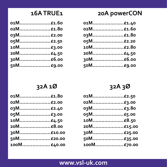#### 16ATRUE1

| 01M£1.60 |  |
|----------|--|
| 02M£1.80 |  |
| 03M£2.00 |  |
| 05M£2.50 |  |
| 10M£3.00 |  |
| 20M£4.50 |  |
| 30M£6.00 |  |
| 50M£9.00 |  |

## 20A powerCON

| 01M£1.40 |  |
|----------|--|
| 02M£1.60 |  |
| 03M£1.80 |  |
| 05M£2.20 |  |
| 10M£2.80 |  |
| 20M£4.50 |  |
| 30M£6.00 |  |
| 50M£9.00 |  |

#### 32A 1Ø

| 01M£1.80    |  |
|-------------|--|
| 02M£2.00    |  |
| 03M£2.40    |  |
| 05M£3.00    |  |
| 10M£4.50    |  |
| 20M£8.00    |  |
| 30M£10.00   |  |
| 50M£20.00   |  |
| 100M £40.00 |  |

#### 32A 3Ø

| 01M£2.50    |  |
|-------------|--|
| 02M£3.00    |  |
| 03M £3.80   |  |
| 05M£5.00    |  |
| 10M£8.50    |  |
| 20M£15.00   |  |
| 30M£25.00   |  |
| 50M£35.00   |  |
| 100M £70.00 |  |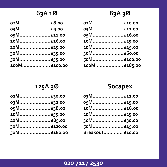## 63A1Ø

| 02M£8.00     |
|--------------|
| 03M£9.00     |
| 05M£11.00    |
| 10M£16.00    |
| 20M£25.00    |
| 30M£35.00    |
| 50M £55.00   |
| 100M £100.00 |
|              |

## 63A 3Ø

| 02M£10.00    |  |
|--------------|--|
| 03M£12.00    |  |
| 05M£16.00    |  |
| 10M£25.00    |  |
| 20M£45.00    |  |
| 30M£60.00    |  |
| 50M£100.00   |  |
| 100M £185.00 |  |

#### 125A 3Ø

| 02M£30.00  |  |
|------------|--|
| 03M£32.00  |  |
| 05M£38.00  |  |
| 10M£55.00  |  |
| 20M£85.00  |  |
| 30M£120.00 |  |
| 50M£180.00 |  |

#### **Socapex**

| 03M£12.00       |  |
|-----------------|--|
| 05M£15.00       |  |
| 10M£18.00       |  |
| 20M£25.00       |  |
| 30M£30.00       |  |
| 50M£45.00       |  |
| Breakout £10.00 |  |